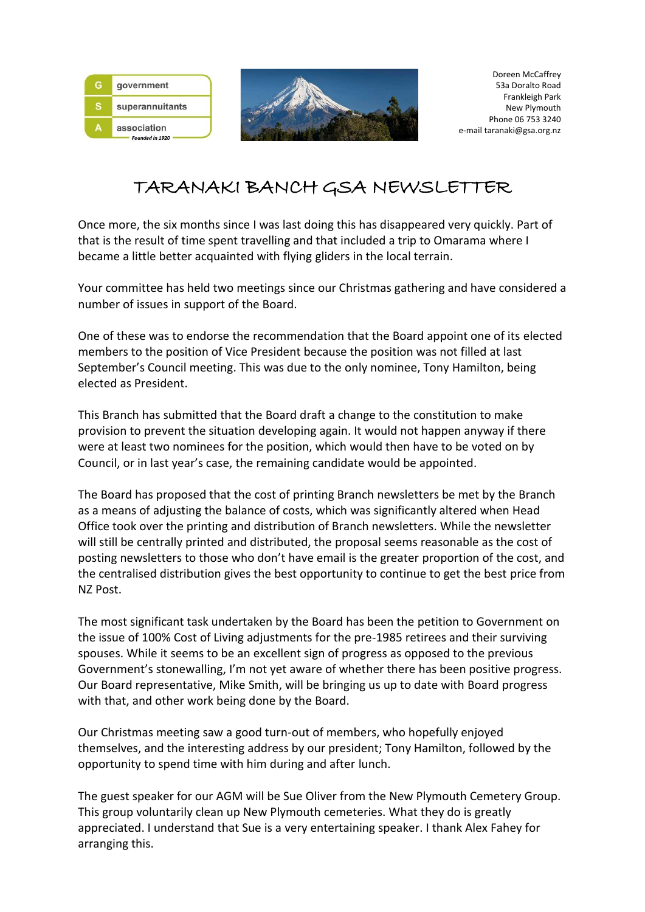

# TARANAKI BANCH GSA NEWSLETTER

Once more, the six months since I was last doing this has disappeared very quickly. Part of that is the result of time spent travelling and that included a trip to Omarama where I became a little better acquainted with flying gliders in the local terrain.

Your committee has held two meetings since our Christmas gathering and have considered a number of issues in support of the Board.

One of these was to endorse the recommendation that the Board appoint one of its elected members to the position of Vice President because the position was not filled at last September's Council meeting. This was due to the only nominee, Tony Hamilton, being elected as President.

This Branch has submitted that the Board draft a change to the constitution to make provision to prevent the situation developing again. It would not happen anyway if there were at least two nominees for the position, which would then have to be voted on by Council, or in last year's case, the remaining candidate would be appointed.

The Board has proposed that the cost of printing Branch newsletters be met by the Branch as a means of adjusting the balance of costs, which was significantly altered when Head Office took over the printing and distribution of Branch newsletters. While the newsletter will still be centrally printed and distributed, the proposal seems reasonable as the cost of posting newsletters to those who don't have email is the greater proportion of the cost, and the centralised distribution gives the best opportunity to continue to get the best price from NZ Post.

The most significant task undertaken by the Board has been the petition to Government on the issue of 100% Cost of Living adjustments for the pre-1985 retirees and their surviving spouses. While it seems to be an excellent sign of progress as opposed to the previous Government's stonewalling, I'm not yet aware of whether there has been positive progress. Our Board representative, Mike Smith, will be bringing us up to date with Board progress with that, and other work being done by the Board.

Our Christmas meeting saw a good turn-out of members, who hopefully enjoyed themselves, and the interesting address by our president; Tony Hamilton, followed by the opportunity to spend time with him during and after lunch.

The guest speaker for our AGM will be Sue Oliver from the New Plymouth Cemetery Group. This group voluntarily clean up New Plymouth cemeteries. What they do is greatly appreciated. I understand that Sue is a very entertaining speaker. I thank Alex Fahey for arranging this.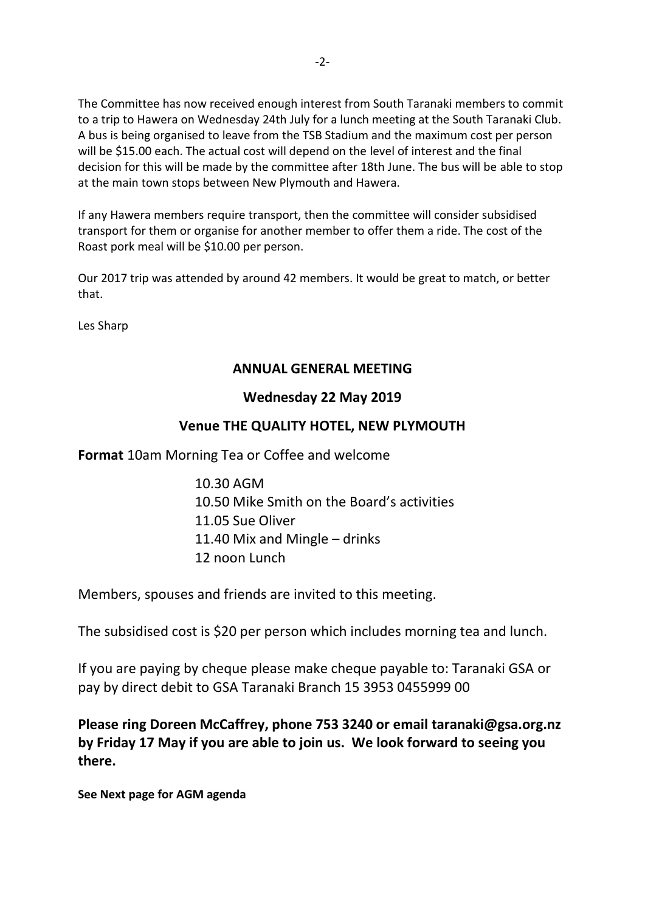The Committee has now received enough interest from South Taranaki members to commit to a trip to Hawera on Wednesday 24th July for a lunch meeting at the South Taranaki Club. A bus is being organised to leave from the TSB Stadium and the maximum cost per person will be \$15.00 each. The actual cost will depend on the level of interest and the final decision for this will be made by the committee after 18th June. The bus will be able to stop at the main town stops between New Plymouth and Hawera.

If any Hawera members require transport, then the committee will consider subsidised transport for them or organise for another member to offer them a ride. The cost of the Roast pork meal will be \$10.00 per person.

Our 2017 trip was attended by around 42 members. It would be great to match, or better that.

Les Sharp

### **ANNUAL GENERAL MEETING**

### **Wednesday 22 May 2019**

## **Venue THE QUALITY HOTEL, NEW PLYMOUTH**

**Format** 10am Morning Tea or Coffee and welcome

10.30 AGM 10.50 Mike Smith on the Board's activities 11.05 Sue Oliver 11.40 Mix and Mingle – drinks 12 noon Lunch

Members, spouses and friends are invited to this meeting.

The subsidised cost is \$20 per person which includes morning tea and lunch.

If you are paying by cheque please make cheque payable to: Taranaki GSA or pay by direct debit to GSA Taranaki Branch 15 3953 0455999 00

**Please ring Doreen McCaffrey, phone 753 3240 or email taranaki@gsa.org.nz by Friday 17 May if you are able to join us. We look forward to seeing you there.**

**See Next page for AGM agenda**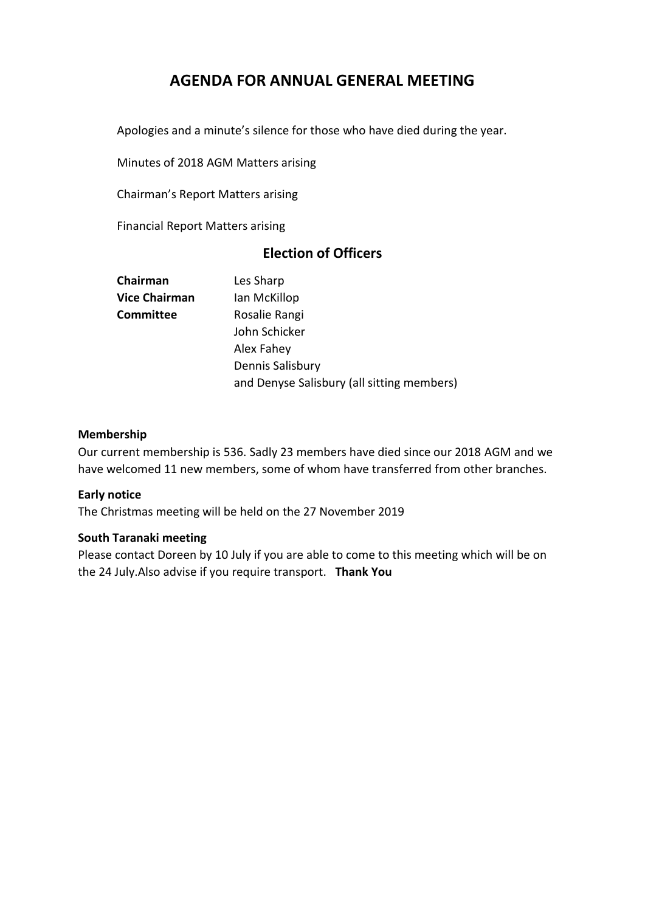## **AGENDA FOR ANNUAL GENERAL MEETING**

Apologies and a minute's silence for those who have died during the year.

Minutes of 2018 AGM Matters arising

Chairman's Report Matters arising

Financial Report Matters arising

## **Election of Officers**

| Chairman             | Les Sharp                                  |  |
|----------------------|--------------------------------------------|--|
| <b>Vice Chairman</b> | Ian McKillop                               |  |
| Committee            | Rosalie Rangi                              |  |
|                      | John Schicker                              |  |
|                      | Alex Fahey                                 |  |
|                      | Dennis Salisbury                           |  |
|                      | and Denyse Salisbury (all sitting members) |  |
|                      |                                            |  |

#### **Membership**

Our current membership is 536. Sadly 23 members have died since our 2018 AGM and we have welcomed 11 new members, some of whom have transferred from other branches.

#### **Early notice**

The Christmas meeting will be held on the 27 November 2019

#### **South Taranaki meeting**

Please contact Doreen by 10 July if you are able to come to this meeting which will be on the 24 July.Also advise if you require transport. **Thank You**